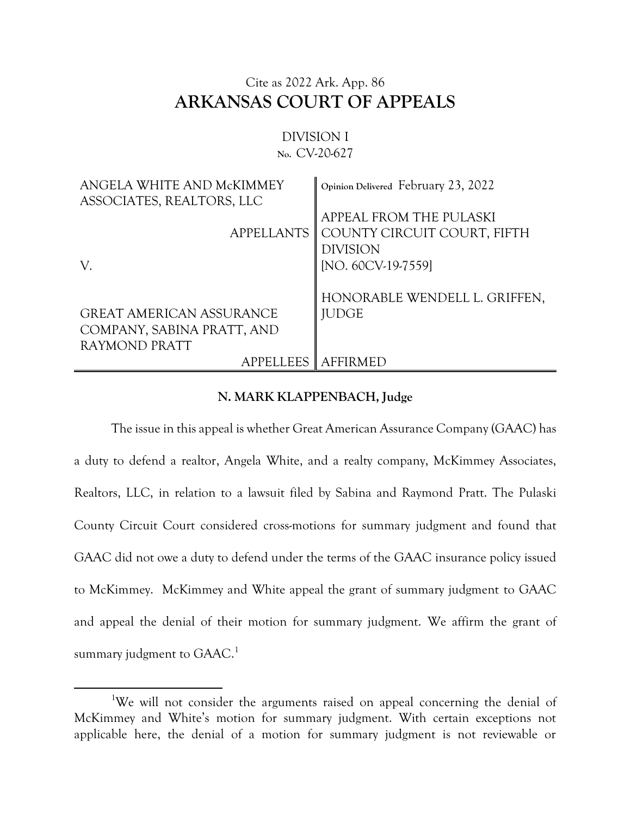## Cite as 2022 Ark. App. 86 **ARKANSAS COURT OF APPEALS**

## DIVISION I **No.** CV-20-627

| ANGELA WHITE AND McKIMMEY<br>ASSOCIATES, REALTORS, LLC                         | Opinion Delivered February 23, 2022                                                             |
|--------------------------------------------------------------------------------|-------------------------------------------------------------------------------------------------|
| <b>APPELLANTS</b><br>V.                                                        | APPEAL FROM THE PULASKI<br>COUNTY CIRCUIT COURT, FIFTH<br><b>DIVISION</b><br>[NO. 60CV-19-7559] |
| <b>GREAT AMERICAN ASSURANCE</b><br>COMPANY, SABINA PRATT, AND<br>RAYMOND PRATT | HONORABLE WENDELL L. GRIFFEN,<br><b>JUDGE</b>                                                   |
| APPELLEES AFFIRMED                                                             |                                                                                                 |

## **N. MARK KLAPPENBACH, Judge**

The issue in this appeal is whether Great American Assurance Company (GAAC) has a duty to defend a realtor, Angela White, and a realty company, McKimmey Associates, Realtors, LLC, in relation to a lawsuit filed by Sabina and Raymond Pratt. The Pulaski County Circuit Court considered cross-motions for summary judgment and found that GAAC did not owe a duty to defend under the terms of the GAAC insurance policy issued to McKimmey. McKimmey and White appeal the grant of summary judgment to GAAC and appeal the denial of their motion for summary judgment. We affirm the grant of summary judgment to  $\mathsf{GAAC}^{1}$ 

 $\overline{\phantom{a}}$ 

 $\blacksquare$ 

<sup>&</sup>lt;sup>1</sup>We will not consider the arguments raised on appeal concerning the denial of McKimmey and White's motion for summary judgment. With certain exceptions not applicable here, the denial of a motion for summary judgment is not reviewable or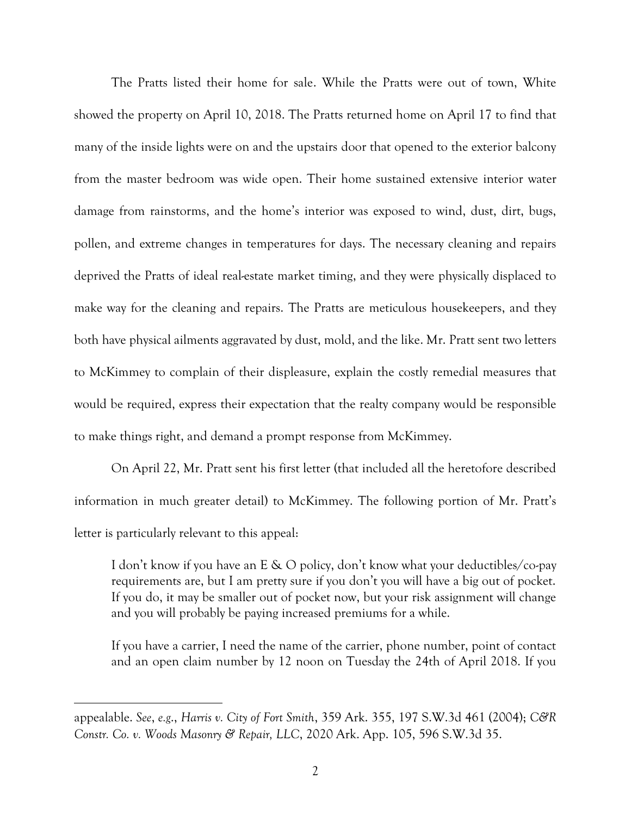The Pratts listed their home for sale. While the Pratts were out of town, White showed the property on April 10, 2018. The Pratts returned home on April 17 to find that many of the inside lights were on and the upstairs door that opened to the exterior balcony from the master bedroom was wide open. Their home sustained extensive interior water damage from rainstorms, and the home's interior was exposed to wind, dust, dirt, bugs, pollen, and extreme changes in temperatures for days. The necessary cleaning and repairs deprived the Pratts of ideal real-estate market timing, and they were physically displaced to make way for the cleaning and repairs. The Pratts are meticulous housekeepers, and they both have physical ailments aggravated by dust, mold, and the like. Mr. Pratt sent two letters to McKimmey to complain of their displeasure, explain the costly remedial measures that would be required, express their expectation that the realty company would be responsible to make things right, and demand a prompt response from McKimmey.

On April 22, Mr. Pratt sent his first letter (that included all the heretofore described information in much greater detail) to McKimmey. The following portion of Mr. Pratt's letter is particularly relevant to this appeal:

I don't know if you have an E & O policy, don't know what your deductibles/co-pay requirements are, but I am pretty sure if you don't you will have a big out of pocket. If you do, it may be smaller out of pocket now, but your risk assignment will change and you will probably be paying increased premiums for a while.

If you have a carrier, I need the name of the carrier, phone number, point of contact and an open claim number by 12 noon on Tuesday the 24th of April 2018. If you

 $\overline{\phantom{a}}$ 

appealable. *See*, *e.g*., *Harris v. City of Fort Smith*, 359 Ark. 355, 197 S.W.3d 461 (2004); *C&R Constr. Co. v. Woods Masonry & Repair, LLC*, 2020 Ark. App. 105, 596 S.W.3d 35.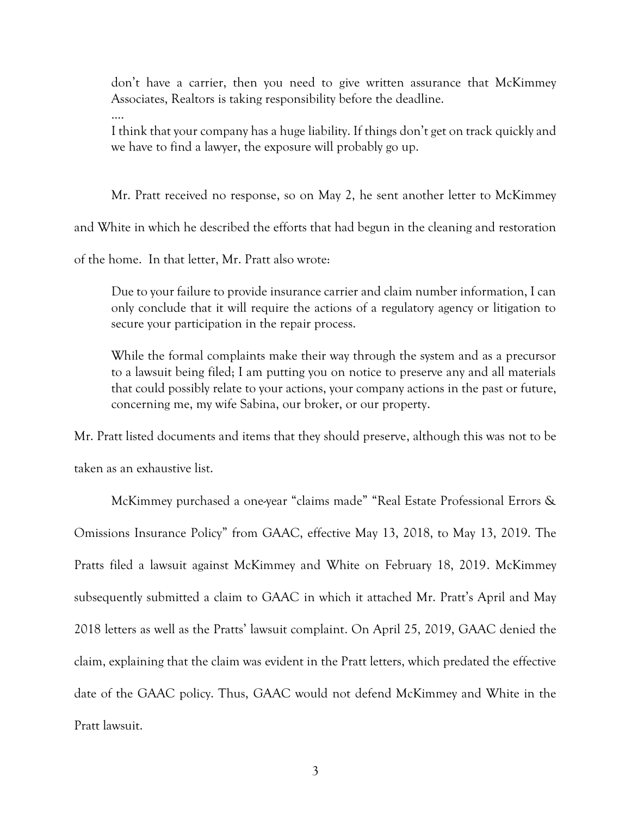don't have a carrier, then you need to give written assurance that McKimmey Associates, Realtors is taking responsibility before the deadline.

I think that your company has a huge liability. If things don't get on track quickly and we have to find a lawyer, the exposure will probably go up.

Mr. Pratt received no response, so on May 2, he sent another letter to McKimmey

and White in which he described the efforts that had begun in the cleaning and restoration

of the home. In that letter, Mr. Pratt also wrote:

Due to your failure to provide insurance carrier and claim number information, I can only conclude that it will require the actions of a regulatory agency or litigation to secure your participation in the repair process.

While the formal complaints make their way through the system and as a precursor to a lawsuit being filed; I am putting you on notice to preserve any and all materials that could possibly relate to your actions, your company actions in the past or future, concerning me, my wife Sabina, our broker, or our property.

Mr. Pratt listed documents and items that they should preserve, although this was not to be

taken as an exhaustive list.

.…

McKimmey purchased a one-year "claims made" "Real Estate Professional Errors & Omissions Insurance Policy" from GAAC, effective May 13, 2018, to May 13, 2019. The Pratts filed a lawsuit against McKimmey and White on February 18, 2019. McKimmey subsequently submitted a claim to GAAC in which it attached Mr. Pratt's April and May 2018 letters as well as the Pratts' lawsuit complaint. On April 25, 2019, GAAC denied the claim, explaining that the claim was evident in the Pratt letters, which predated the effective date of the GAAC policy. Thus, GAAC would not defend McKimmey and White in the Pratt lawsuit.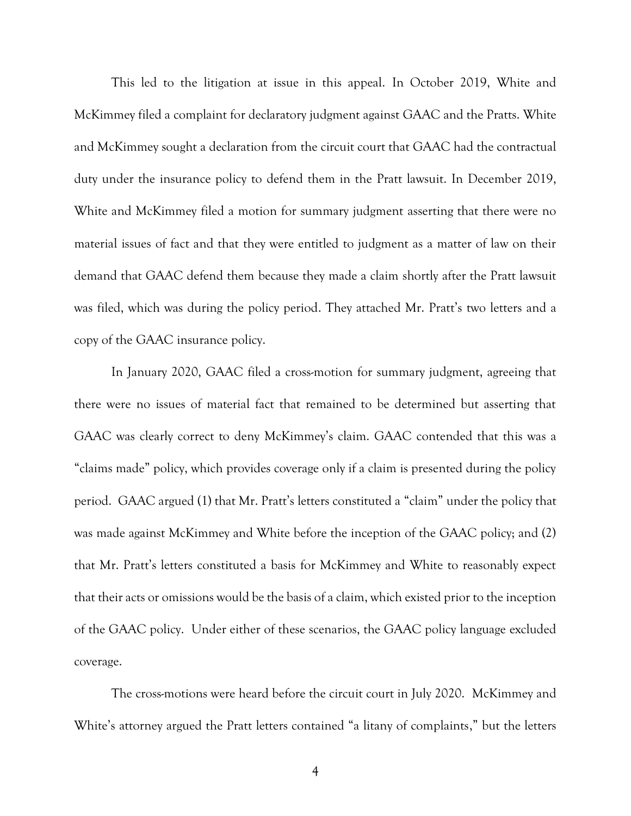This led to the litigation at issue in this appeal. In October 2019, White and McKimmey filed a complaint for declaratory judgment against GAAC and the Pratts. White and McKimmey sought a declaration from the circuit court that GAAC had the contractual duty under the insurance policy to defend them in the Pratt lawsuit. In December 2019, White and McKimmey filed a motion for summary judgment asserting that there were no material issues of fact and that they were entitled to judgment as a matter of law on their demand that GAAC defend them because they made a claim shortly after the Pratt lawsuit was filed, which was during the policy period. They attached Mr. Pratt's two letters and a copy of the GAAC insurance policy.

In January 2020, GAAC filed a cross-motion for summary judgment, agreeing that there were no issues of material fact that remained to be determined but asserting that GAAC was clearly correct to deny McKimmey's claim. GAAC contended that this was a "claims made" policy, which provides coverage only if a claim is presented during the policy period. GAAC argued (1) that Mr. Pratt's letters constituted a "claim" under the policy that was made against McKimmey and White before the inception of the GAAC policy; and (2) that Mr. Pratt's letters constituted a basis for McKimmey and White to reasonably expect that their acts or omissions would be the basis of a claim, which existed prior to the inception of the GAAC policy. Under either of these scenarios, the GAAC policy language excluded coverage.

The cross-motions were heard before the circuit court in July 2020. McKimmey and White's attorney argued the Pratt letters contained "a litany of complaints," but the letters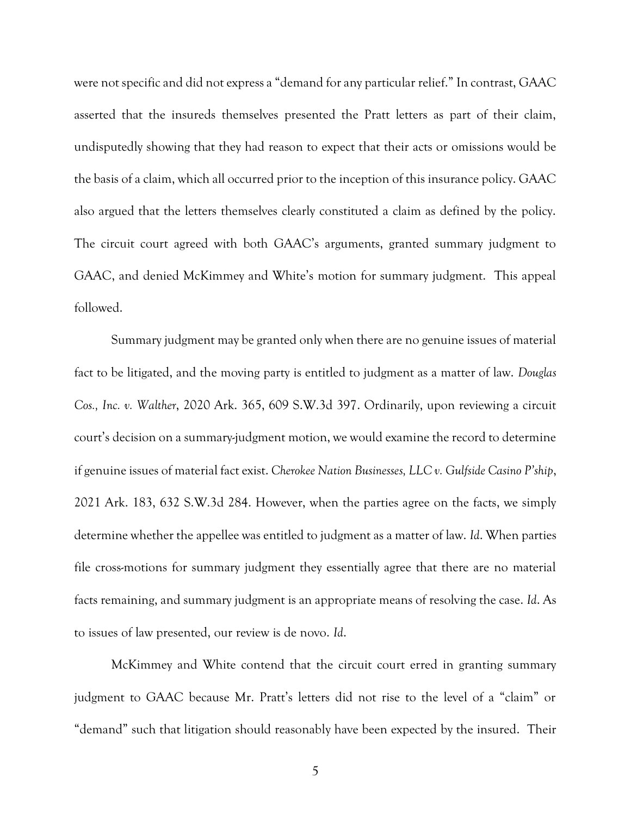were not specific and did not express a "demand for any particular relief." In contrast, GAAC asserted that the insureds themselves presented the Pratt letters as part of their claim, undisputedly showing that they had reason to expect that their acts or omissions would be the basis of a claim, which all occurred prior to the inception of this insurance policy. GAAC also argued that the letters themselves clearly constituted a claim as defined by the policy. The circuit court agreed with both GAAC's arguments, granted summary judgment to GAAC, and denied McKimmey and White's motion for summary judgment. This appeal followed.

Summary judgment may be granted only when there are no genuine issues of material fact to be litigated, and the moving party is entitled to judgment as a matter of law. *Douglas Cos., Inc. v. Walther*, 2020 Ark. 365, 609 S.W.3d 397. Ordinarily, upon reviewing a circuit court's decision on a summary-judgment motion, we would examine the record to determine if genuine issues of material fact exist. *Cherokee Nation Businesses, LLC v. Gulfside Casino P'ship*, 2021 Ark. 183, 632 S.W.3d 284. However, when the parties agree on the facts, we simply determine whether the appellee was entitled to judgment as a matter of law. *Id*. When parties file cross-motions for summary judgment they essentially agree that there are no material facts remaining, and summary judgment is an appropriate means of resolving the case. *Id*. As to issues of law presented, our review is de novo. *Id*.

McKimmey and White contend that the circuit court erred in granting summary judgment to GAAC because Mr. Pratt's letters did not rise to the level of a "claim" or "demand" such that litigation should reasonably have been expected by the insured. Their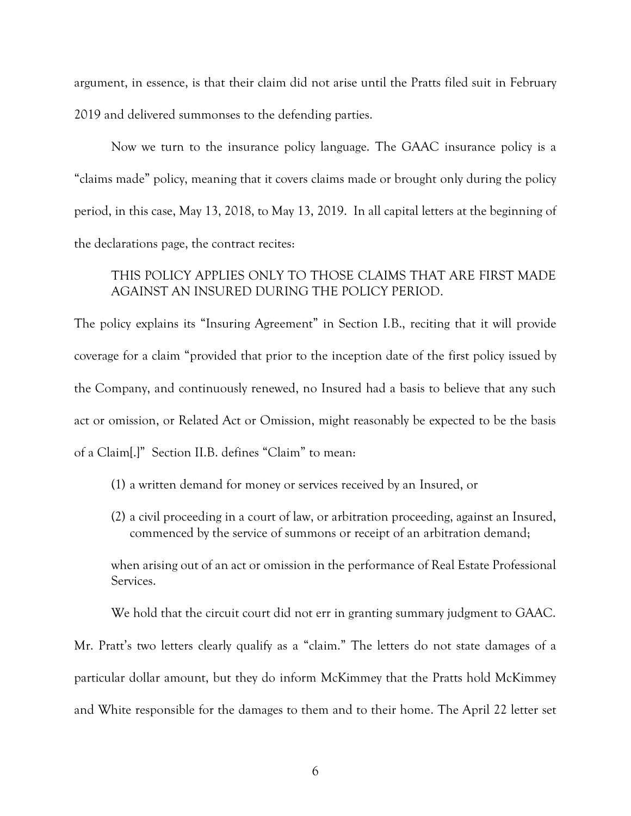argument, in essence, is that their claim did not arise until the Pratts filed suit in February 2019 and delivered summonses to the defending parties.

Now we turn to the insurance policy language. The GAAC insurance policy is a "claims made" policy, meaning that it covers claims made or brought only during the policy period, in this case, May 13, 2018, to May 13, 2019. In all capital letters at the beginning of the declarations page, the contract recites:

## THIS POLICY APPLIES ONLY TO THOSE CLAIMS THAT ARE FIRST MADE AGAINST AN INSURED DURING THE POLICY PERIOD.

The policy explains its "Insuring Agreement" in Section I.B., reciting that it will provide coverage for a claim "provided that prior to the inception date of the first policy issued by the Company, and continuously renewed, no Insured had a basis to believe that any such act or omission, or Related Act or Omission, might reasonably be expected to be the basis of a Claim[.]" Section II.B. defines "Claim" to mean:

- (1) a written demand for money or services received by an Insured, or
- (2) a civil proceeding in a court of law, or arbitration proceeding, against an Insured, commenced by the service of summons or receipt of an arbitration demand;

when arising out of an act or omission in the performance of Real Estate Professional Services.

We hold that the circuit court did not err in granting summary judgment to GAAC.

Mr. Pratt's two letters clearly qualify as a "claim." The letters do not state damages of a particular dollar amount, but they do inform McKimmey that the Pratts hold McKimmey and White responsible for the damages to them and to their home. The April 22 letter set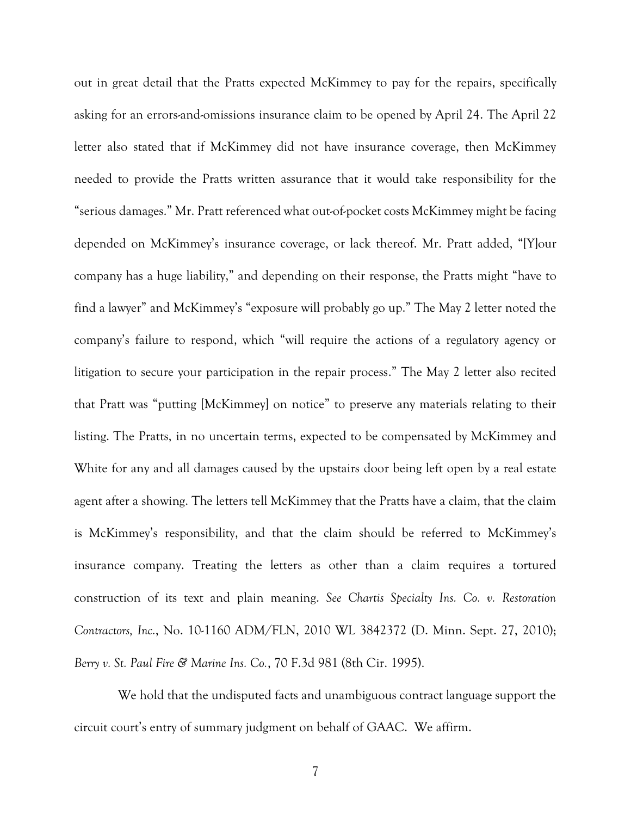out in great detail that the Pratts expected McKimmey to pay for the repairs, specifically asking for an errors-and-omissions insurance claim to be opened by April 24. The April 22 letter also stated that if McKimmey did not have insurance coverage, then McKimmey needed to provide the Pratts written assurance that it would take responsibility for the "serious damages." Mr. Pratt referenced what out-of-pocket costs McKimmey might be facing depended on McKimmey's insurance coverage, or lack thereof. Mr. Pratt added, "[Y]our company has a huge liability," and depending on their response, the Pratts might "have to find a lawyer" and McKimmey's "exposure will probably go up." The May 2 letter noted the company's failure to respond, which "will require the actions of a regulatory agency or litigation to secure your participation in the repair process." The May 2 letter also recited that Pratt was "putting [McKimmey] on notice" to preserve any materials relating to their listing. The Pratts, in no uncertain terms, expected to be compensated by McKimmey and White for any and all damages caused by the upstairs door being left open by a real estate agent after a showing. The letters tell McKimmey that the Pratts have a claim, that the claim is McKimmey's responsibility, and that the claim should be referred to McKimmey's insurance company. Treating the letters as other than a claim requires a tortured construction of its text and plain meaning. *See Chartis Specialty Ins. Co. v. Restoration Contractors, Inc.*, No. 10-1160 ADM/FLN, 2010 WL 3842372 (D. Minn. Sept. 27, 2010); *Berry v. St. Paul Fire & Marine Ins. Co.*, 70 F.3d 981 (8th Cir. 1995).

 We hold that the undisputed facts and unambiguous contract language support the circuit court's entry of summary judgment on behalf of GAAC. We affirm.